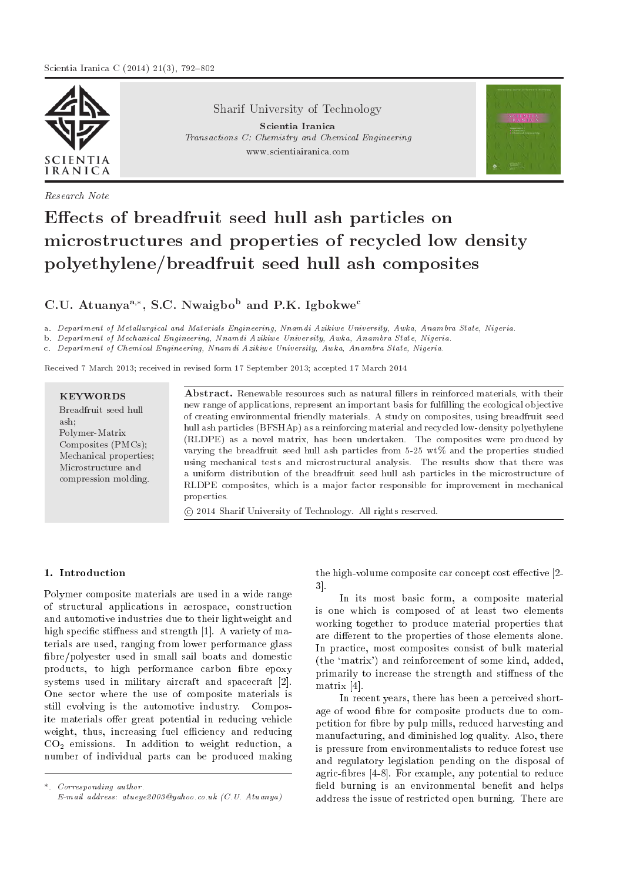

Research Note

Sharif University of Technology

Scientia Iranica Transactions C: Chemistry and Chemical Engineering www.scientiairanica.com



# Effects of breadfruit seed hull ash particles on microstructures and properties of recycled low density polyethylene/breadfruit seed hull ash composites

C.U. Atuanya<sup>a,\*</sup>, S.C. Nwaigbo<sup>b</sup> and P.K. Igbokwe<sup>c</sup>

a. Department of Metallurgical and Materials Engineering, Nnamdi Azikiwe University, Awka, Anambra State, Nigeria.

b. Department of Mechanical Engineering, Nnamdi Azikiwe University, Awka, Anambra State, Nigeria.

c. Department of Chemical Engineering, Nnamdi Azikiwe University, Awka, Anambra State, Nigeria.

Received 7 March 2013; received in revised form 17 September 2013; accepted 17 March 2014

### KEYWORDS

Breadfruit seed hull ash; Polymer-Matrix Composites (PMCs); Mechanical properties; Microstructure and compression molding.

Abstract. Renewable resources such as natural llers in reinforced materials, with their new range of applications, represent an important basis for fullling the ecological objective of creating environmental friendly materials. A study on composites, using breadfruit seed hull ash particles (BFSHAp) as a reinforcing material and recycled low-density polyethylene (RLDPE) as a novel matrix, has been undertaken. The composites were produced by varying the breadfruit seed hull ash particles from 5-25 wt% and the properties studied using mechanical tests and microstructural analysis. The results show that there was a uniform distribution of the breadfruit seed hull ash particles in the microstructure of RLDPE composites, which is a major factor responsible for improvement in mechanical properties.

c 2014 Sharif University of Technology. All rights reserved.

## 1. Introduction

Polymer composite materials are used in a wide range of structural applications in aerospace, construction and automotive industries due to their lightweight and high specific stiffness and strength [1]. A variety of materials are used, ranging from lower performance glass bre/polyester used in small sail boats and domestic products, to high performance carbon bre epoxy systems used in military aircraft and spacecraft [2]. One sector where the use of composite materials is still evolving is the automotive industry. Composite materials offer great potential in reducing vehicle weight, thus, increasing fuel efficiency and reducing  $CO<sub>2</sub>$  emissions. In addition to weight reduction, a number of individual parts can be produced making the high-volume composite car concept cost effective  $[2-$ 3].

In its most basic form, a composite material is one which is composed of at least two elements working together to produce material properties that are different to the properties of those elements alone. In practice, most composites consist of bulk material (the `matrix') and reinforcement of some kind, added, primarily to increase the strength and stiffness of the matrix [4].

In recent years, there has been a perceived shortage of wood bre for composite products due to competition for fibre by pulp mills, reduced harvesting and manufacturing, and diminished log quality. Also, there is pressure from environmentalists to reduce forest use and regulatory legislation pending on the disposal of agric-bres [4-8]. For example, any potential to reduce field burning is an environmental benefit and helps address the issue of restricted open burning. There are

Corresponding author. E-mail address: atueye2003@yahoo.co.uk (C.U. Atuanya)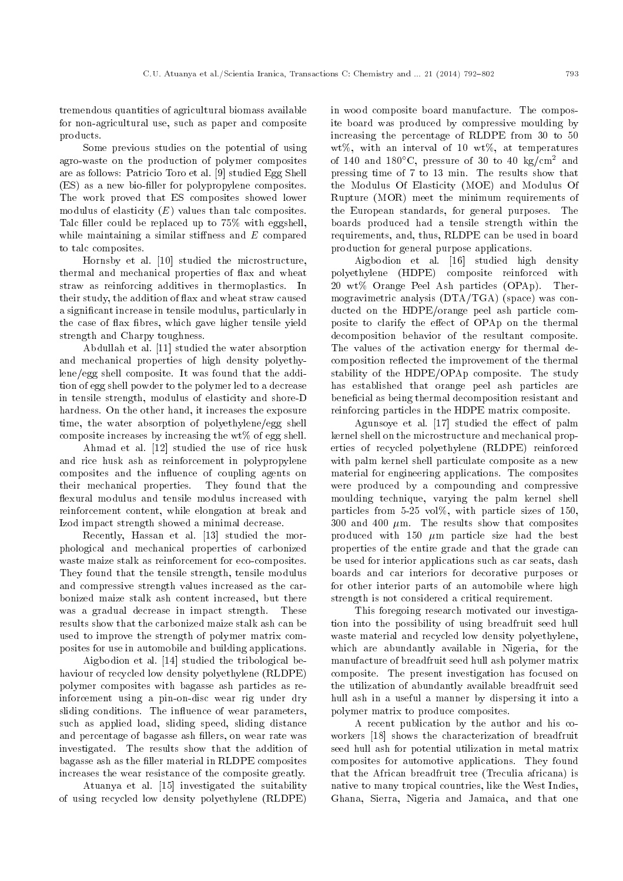tremendous quantities of agricultural biomass available for non-agricultural use, such as paper and composite products.

Some previous studies on the potential of using agro-waste on the production of polymer composites are as follows: Patricio Toro et al. [9] studied Egg Shell (ES) as a new bio-filler for polypropylene composites. The work proved that ES composites showed lower modulus of elasticity  $(E)$  values than talc composites. Talc filler could be replaced up to  $75\%$  with eggshell, while maintaining a similar stiffness and  $E$  compared to talc composites.

Hornsby et al. [10] studied the microstructure, thermal and mechanical properties of flax and wheat straw as reinforcing additives in thermoplastics. In their study, the addition of flax and wheat straw caused a signicant increase in tensile modulus, particularly in the case of flax fibres, which gave higher tensile yield strength and Charpy toughness.

Abdullah et al. [11] studied the water absorption and mechanical properties of high density polyethylene/egg shell composite. It was found that the addition of egg shell powder to the polymer led to a decrease in tensile strength, modulus of elasticity and shore-D hardness. On the other hand, it increases the exposure time, the water absorption of polyethylene/egg shell composite increases by increasing the wt% of egg shell.

Ahmad et al. [12] studied the use of rice husk and rice husk ash as reinforcement in polypropylene composites and the influence of coupling agents on their mechanical properties. They found that the flexural modulus and tensile modulus increased with reinforcement content, while elongation at break and Izod impact strength showed a minimal decrease.

Recently, Hassan et al. [13] studied the morphological and mechanical properties of carbonized waste maize stalk as reinforcement for eco-composites. They found that the tensile strength, tensile modulus and compressive strength values increased as the carbonized maize stalk ash content increased, but there was a gradual decrease in impact strength. These results show that the carbonized maize stalk ash can be used to improve the strength of polymer matrix composites for use in automobile and building applications.

Aigbodion et al. [14] studied the tribological behaviour of recycled low density polyethylene (RLDPE) polymer composites with bagasse ash particles as reinforcement using a pin-on-disc wear rig under dry sliding conditions. The influence of wear parameters, such as applied load, sliding speed, sliding distance and percentage of bagasse ash fillers, on wear rate was investigated. The results show that the addition of bagasse ash as the filler material in RLDPE composites increases the wear resistance of the composite greatly.

Atuanya et al. [15] investigated the suitability of using recycled low density polyethylene (RLDPE) in wood composite board manufacture. The composite board was produced by compressive moulding by increasing the percentage of RLDPE from 30 to 50 wt%, with an interval of 10 wt%, at temperatures of 140 and 180 $^{\circ}$ C, pressure of 30 to 40 kg/cm<sup>2</sup> and pressing time of 7 to 13 min. The results show that the Modulus Of Elasticity (MOE) and Modulus Of Rupture (MOR) meet the minimum requirements of the European standards, for general purposes. The boards produced had a tensile strength within the requirements, and, thus, RLDPE can be used in board production for general purpose applications.

Aigbodion et al. [16] studied high density polyethylene (HDPE) composite reinforced with 20 wt% Orange Peel Ash particles (OPAp). Thermogravimetric analysis (DTA/TGA) (space) was conducted on the HDPE/orange peel ash particle composite to clarify the effect of OPAp on the thermal decomposition behavior of the resultant composite. The values of the activation energy for thermal decomposition reflected the improvement of the thermal stability of the HDPE/OPAp composite. The study has established that orange peel ash particles are beneficial as being thermal decomposition resistant and reinforcing particles in the HDPE matrix composite.

Agunsoye et al.  $[17]$  studied the effect of palm kernel shell on the microstructure and mechanical properties of recycled polyethylene (RLDPE) reinforced with palm kernel shell particulate composite as a new material for engineering applications. The composites were produced by a compounding and compressive moulding technique, varying the palm kernel shell particles from 5-25 vol%, with particle sizes of 150, 300 and 400  $\mu$ m. The results show that composites produced with 150  $\mu$ m particle size had the best properties of the entire grade and that the grade can be used for interior applications such as car seats, dash boards and car interiors for decorative purposes or for other interior parts of an automobile where high strength is not considered a critical requirement.

This foregoing research motivated our investigation into the possibility of using breadfruit seed hull waste material and recycled low density polyethylene, which are abundantly available in Nigeria, for the manufacture of breadfruit seed hull ash polymer matrix composite. The present investigation has focused on the utilization of abundantly available breadfruit seed hull ash in a useful a manner by dispersing it into a polymer matrix to produce composites.

A recent publication by the author and his coworkers [18] shows the characterization of breadfruit seed hull ash for potential utilization in metal matrix composites for automotive applications. They found that the African breadfruit tree (Treculia africana) is native to many tropical countries, like the West Indies, Ghana, Sierra, Nigeria and Jamaica, and that one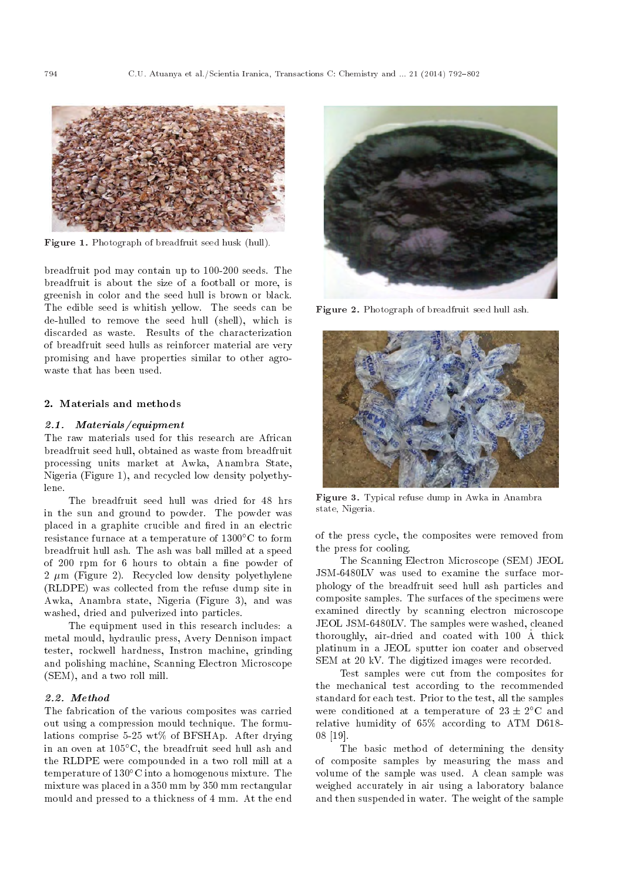

Figure 1. Photograph of breadfruit seed husk (hull).

breadfruit pod may contain up to 100-200 seeds. The breadfruit is about the size of a football or more, is greenish in color and the seed hull is brown or black. The edible seed is whitish yellow. The seeds can be de-hulled to remove the seed hull (shell), which is discarded as waste. Results of the characterization of breadfruit seed hulls as reinforcer material are very promising and have properties similar to other agrowaste that has been used.

## 2. Materials and methods

#### 2.1. Materials/equipment

The raw materials used for this research are African breadfruit seed hull, obtained as waste from breadfruit processing units market at Awka, Anambra State, Nigeria (Figure 1), and recycled low density polyethylene.

The breadfruit seed hull was dried for 48 hrs in the sun and ground to powder. The powder was placed in a graphite crucible and fired in an electric resistance furnace at a temperature of  $1300^{\circ}$ C to form breadfruit hull ash. The ash was ball milled at a speed of 200 rpm for 6 hours to obtain a fine powder of  $2 \mu m$  (Figure 2). Recycled low density polyethylene (RLDPE) was collected from the refuse dump site in Awka, Anambra state, Nigeria (Figure 3), and was washed, dried and pulverized into particles.

The equipment used in this research includes: a metal mould, hydraulic press, Avery Dennison impact tester, rockwell hardness, Instron machine, grinding and polishing machine, Scanning Electron Microscope (SEM), and a two roll mill.

#### 2.2. Method

The fabrication of the various composites was carried out using a compression mould technique. The formulations comprise 5-25  $wt\%$  of BFSHAp. After drying in an oven at  $105^{\circ}$ C, the breadfruit seed hull ash and the RLDPE were compounded in a two roll mill at a temperature of  $130^{\circ}$ C into a homogenous mixture. The mixture was placed in a 350 mm by 350 mm rectangular mould and pressed to a thickness of 4 mm. At the end



Figure 2. Photograph of breadfruit seed hull ash.



Figure 3. Typical refuse dump in Awka in Anambra state, Nigeria.

of the press cycle, the composites were removed from the press for cooling.

The Scanning Electron Microscope (SEM) JEOL JSM-6480LV was used to examine the surface morphology of the breadfruit seed hull ash particles and composite samples. The surfaces of the specimens were examined directly by scanning electron microscope JEOL JSM-6480LV. The samples were washed, cleaned thoroughly, air-dried and coated with 100 A thick platinum in a JEOL sputter ion coater and observed SEM at 20 kV. The digitized images were recorded.

Test samples were cut from the composites for the mechanical test according to the recommended standard for each test. Prior to the test, all the samples were conditioned at a temperature of  $23 \pm 2$ °C and relative humidity of 65% according to ATM D618- 08 [19].

The basic method of determining the density of composite samples by measuring the mass and volume of the sample was used. A clean sample was weighed accurately in air using a laboratory balance and then suspended in water. The weight of the sample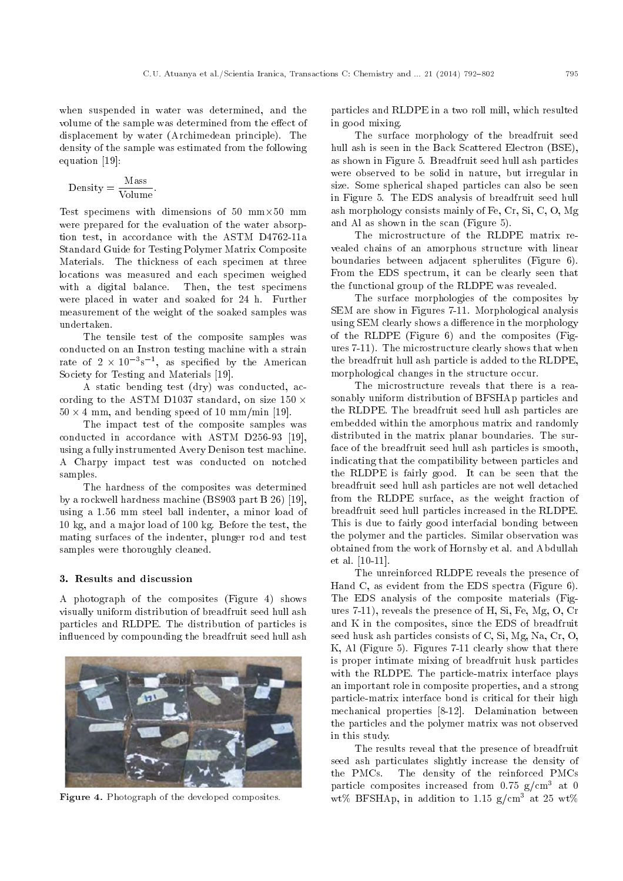when suspended in water was determined, and the volume of the sample was determined from the effect of displacement by water (Archimedean principle). The density of the sample was estimated from the following equation [19]:

$$
Density = \frac{Mass}{Volume}.
$$

Test specimens with dimensions of 50 mm $\times$ 50 mm were prepared for the evaluation of the water absorption test, in accordance with the ASTM D4762-11a Standard Guide for Testing Polymer Matrix Composite Materials. The thickness of each specimen at three locations was measured and each specimen weighed with a digital balance. Then, the test specimens were placed in water and soaked for 24 h. Further measurement of the weight of the soaked samples was undertaken.

The tensile test of the composite samples was conducted on an Instron testing machine with a strain rate of  $2 \times 10^{-3}$ s<sup>-1</sup>, as specified by the American Society for Testing and Materials [19].

A static bending test (dry) was conducted, according to the ASTM D1037 standard, on size 150  $\times$  $50 \times 4$  mm, and bending speed of 10 mm/min [19].

The impact test of the composite samples was conducted in accordance with ASTM D256-93 [19], using a fully instrumented Avery Denison test machine. A Charpy impact test was conducted on notched samples.

The hardness of the composites was determined by a rockwell hardness machine (BS903 part B 26) [19], using a 1:56 mm steel ball indenter, a minor load of 10 kg, and a major load of 100 kg. Before the test, the mating surfaces of the indenter, plunger rod and test samples were thoroughly cleaned.

## 3. Results and discussion

A photograph of the composites (Figure 4) shows visually uniform distribution of breadfruit seed hull ash particles and RLDPE. The distribution of particles is in
uenced by compounding the breadfruit seed hull ash



Figure 4. Photograph of the developed composites.

particles and RLDPE in a two roll mill, which resulted in good mixing.

The surface morphology of the breadfruit seed hull ash is seen in the Back Scattered Electron (BSE), as shown in Figure 5. Breadfruit seed hull ash particles were observed to be solid in nature, but irregular in size. Some spherical shaped particles can also be seen in Figure 5. The EDS analysis of breadfruit seed hull ash morphology consists mainly of Fe, Cr, Si, C, O, Mg and Al as shown in the scan (Figure 5).

The microstructure of the RLDPE matrix revealed chains of an amorphous structure with linear boundaries between adjacent spherulites (Figure 6). From the EDS spectrum, it can be clearly seen that the functional group of the RLDPE was revealed.

The surface morphologies of the composites by SEM are show in Figures 7-11. Morphological analysis using SEM clearly shows a difference in the morphology of the RLDPE (Figure 6) and the composites (Figures 7-11). The microstructure clearly shows that when the breadfruit hull ash particle is added to the RLDPE, morphological changes in the structure occur.

The microstructure reveals that there is a reasonably uniform distribution of BFSHAp particles and the RLDPE. The breadfruit seed hull ash particles are embedded within the amorphous matrix and randomly distributed in the matrix planar boundaries. The surface of the breadfruit seed hull ash particles is smooth, indicating that the compatibility between particles and the RLDPE is fairly good. It can be seen that the breadfruit seed hull ash particles are not well detached from the RLDPE surface, as the weight fraction of breadfruit seed hull particles increased in the RLDPE. This is due to fairly good interfacial bonding between the polymer and the particles. Similar observation was obtained from the work of Hornsby et al. and Abdullah et al. [10-11].

The unreinforced RLDPE reveals the presence of Hand C, as evident from the EDS spectra (Figure 6). The EDS analysis of the composite materials (Figures 7-11), reveals the presence of H, Si, Fe, Mg, O, Cr and K in the composites, since the EDS of breadfruit seed husk ash particles consists of C, Si, Mg, Na, Cr, O, K, Al (Figure 5). Figures 7-11 clearly show that there is proper intimate mixing of breadfruit husk particles with the RLDPE. The particle-matrix interface plays an important role in composite properties, and a strong particle-matrix interface bond is critical for their high mechanical properties [8-12]. Delamination between the particles and the polymer matrix was not observed in this study.

The results reveal that the presence of breadfruit seed ash particulates slightly increase the density of the PMCs. The density of the reinforced PMCs particle composites increased from 0.75  $g/cm^3$  at 0 wt% BFSHAp, in addition to 1.15  $g/cm^3$  at 25 wt%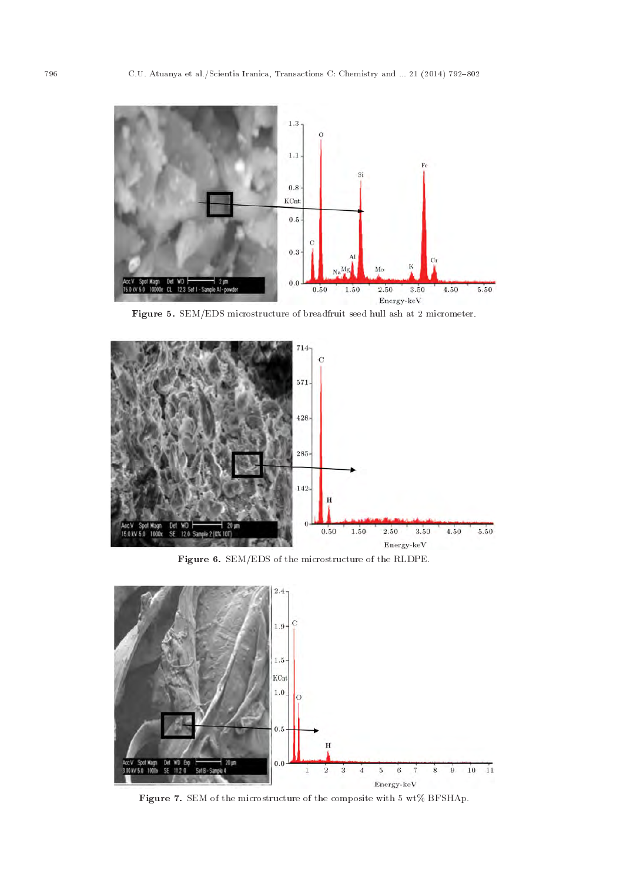

Figure 5. SEM/EDS microstructure of breadfruit seed hull ash at 2 micrometer.



Figure 6. SEM/EDS of the microstructure of the RLDPE.



Figure 7. SEM of the microstructure of the composite with 5 wt% BFSHAp.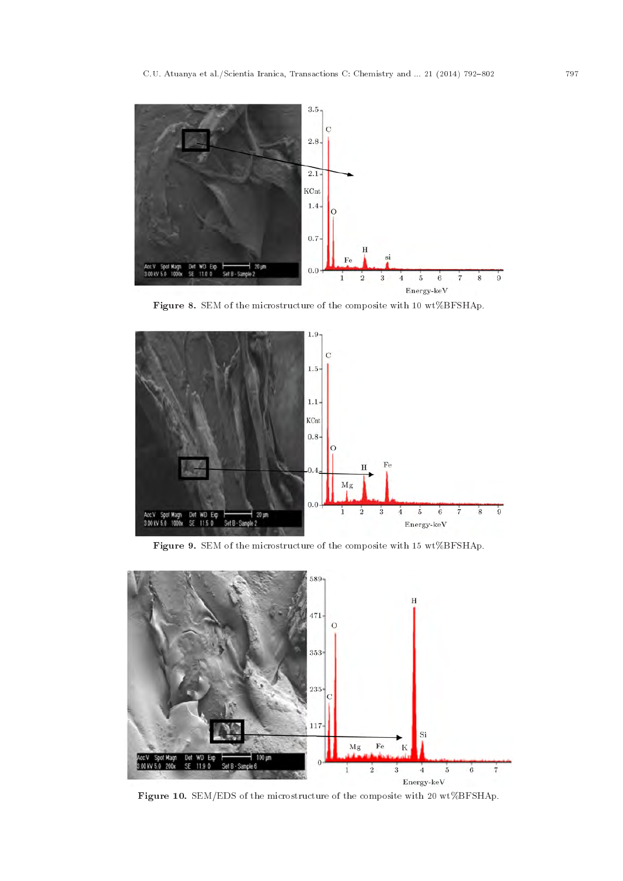

Figure 8. SEM of the microstructure of the composite with 10 wt%BFSHAp.



Figure 9. SEM of the microstructure of the composite with 15 wt%BFSHAp.



Figure 10. SEM/EDS of the microstructure of the composite with 20 wt%BFSHAp.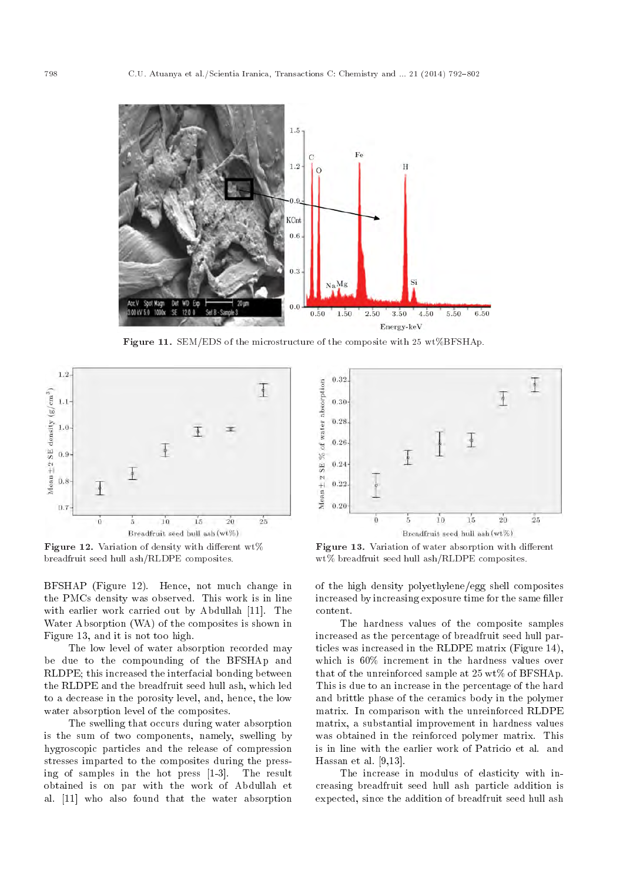

Figure 11. SEM/EDS of the microstructure of the composite with 25 wt%BFSHAp.



Figure 12. Variation of density with different wt% breadfruit seed hull ash/RLDPE composites.

BFSHAP (Figure 12). Hence, not much change in the PMCs density was observed. This work is in line with earlier work carried out by Abdullah [11]. The Water Absorption (WA) of the composites is shown in Figure 13, and it is not too high.

The low level of water absorption recorded may be due to the compounding of the BFSHAp and RLDPE; this increased the interfacial bonding between the RLDPE and the breadfruit seed hull ash, which led to a decrease in the porosity level, and, hence, the low water absorption level of the composites.

The swelling that occurs during water absorption is the sum of two components, namely, swelling by hygroscopic particles and the release of compression stresses imparted to the composites during the pressing of samples in the hot press [1-3]. The result obtained is on par with the work of Abdullah et al. [11] who also found that the water absorption



Figure 13. Variation of water absorption with different wt% breadfruit seed hull ash/RLDPE composites.

of the high density polyethylene/egg shell composites increased by increasing exposure time for the same filler content.

The hardness values of the composite samples increased as the percentage of breadfruit seed hull particles was increased in the RLDPE matrix (Figure 14), which is 60% increment in the hardness values over that of the unreinforced sample at 25 wt% of BFSHAp. This is due to an increase in the percentage of the hard and brittle phase of the ceramics body in the polymer matrix. In comparison with the unreinforced RLDPE matrix, a substantial improvement in hardness values was obtained in the reinforced polymer matrix. This is in line with the earlier work of Patricio et al. and Hassan et al. [9,13].

The increase in modulus of elasticity with increasing breadfruit seed hull ash particle addition is expected, since the addition of breadfruit seed hull ash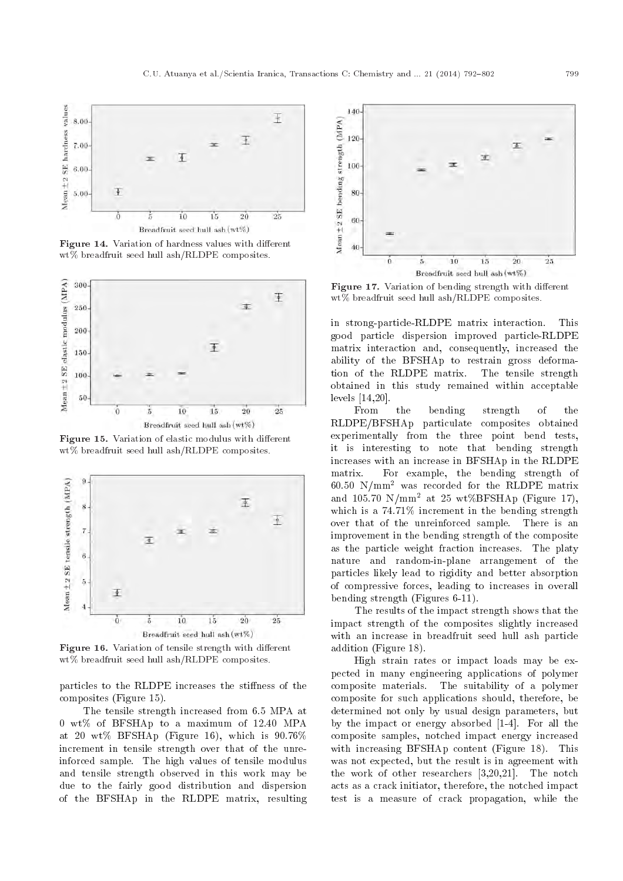

Figure 14. Variation of hardness values with different wt% breadfruit seed hull ash/RLDPE composites.



Figure 15. Variation of elastic modulus with different wt% breadfruit seed hull ash/RLDPE composites.



Figure 16. Variation of tensile strength with different wt% breadfruit seed hull ash/RLDPE composites.

particles to the RLDPE increases the stiffness of the composites (Figure 15).

The tensile strength increased from 6:5 MPA at 0 wt% of BFSHAp to a maximum of 12:40 MPA at 20 wt% BFSHAp (Figure 16), which is 90:76% increment in tensile strength over that of the unreinforced sample. The high values of tensile modulus and tensile strength observed in this work may be due to the fairly good distribution and dispersion of the BFSHAp in the RLDPE matrix, resulting



Figure 17. Variation of bending strength with different wt% breadfruit seed hull ash/RLDPE composites.

in strong-particle-RLDPE matrix interaction. This good particle dispersion improved particle-RLDPE matrix interaction and, consequently, increased the ability of the BFSHAp to restrain gross deformation of the RLDPE matrix. The tensile strength obtained in this study remained within acceptable levels [14,20].

From the bending strength of the RLDPE/BFSHAp particulate composites obtained experimentally from the three point bend tests, it is interesting to note that bending strength increases with an increase in BFSHAp in the RLDPE matrix. For example, the bending strength of 60:50 N/mm<sup>2</sup> was recorded for the RLDPE matrix and  $105.70 \text{ N/mm}^2$  at  $25 \text{ wt} \%BFSHAp$  (Figure 17), which is a 74.71% increment in the bending strength over that of the unreinforced sample. There is an improvement in the bending strength of the composite as the particle weight fraction increases. The platy nature and random-in-plane arrangement of the particles likely lead to rigidity and better absorption of compressive forces, leading to increases in overall bending strength (Figures 6-11).

The results of the impact strength shows that the impact strength of the composites slightly increased with an increase in breadfruit seed hull ash particle addition (Figure 18).

High strain rates or impact loads may be expected in many engineering applications of polymer composite materials. The suitability of a polymer composite for such applications should, therefore, be determined not only by usual design parameters, but by the impact or energy absorbed [1-4]. For all the composite samples, notched impact energy increased with increasing BFSHAp content (Figure 18). This was not expected, but the result is in agreement with the work of other researchers [3,20,21]. The notch acts as a crack initiator, therefore, the notched impact test is a measure of crack propagation, while the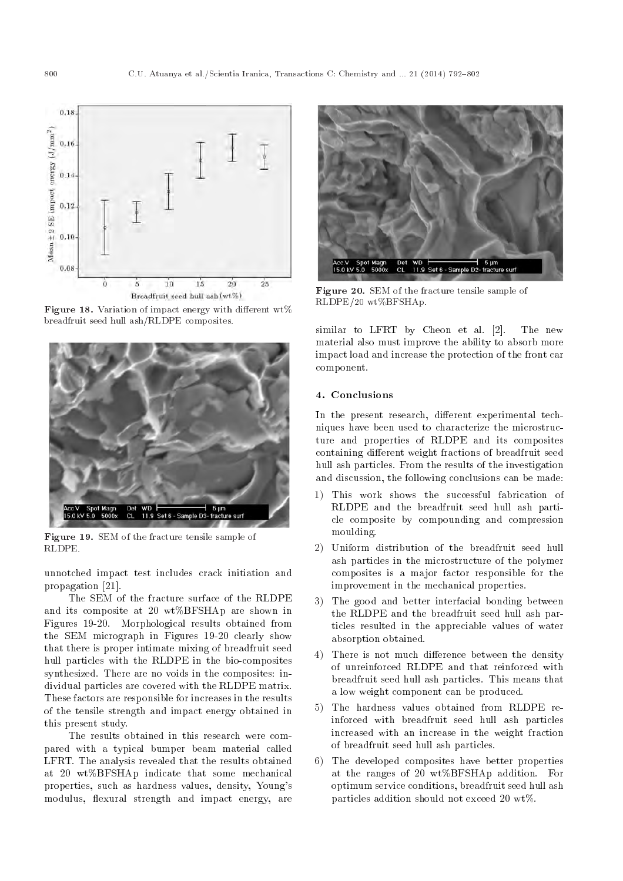

Figure 18. Variation of impact energy with different wt% breadfruit seed hull ash/RLDPE composites.



Figure 19. SEM of the fracture tensile sample of RLDPE.

unnotched impact test includes crack initiation and propagation [21].

The SEM of the fracture surface of the RLDPE and its composite at 20 wt%BFSHAp are shown in Figures 19-20. Morphological results obtained from the SEM micrograph in Figures 19-20 clearly show that there is proper intimate mixing of breadfruit seed hull particles with the RLDPE in the bio-composites synthesized. There are no voids in the composites: individual particles are covered with the RLDPE matrix. These factors are responsible for increases in the results of the tensile strength and impact energy obtained in this present study.

The results obtained in this research were compared with a typical bumper beam material called LFRT. The analysis revealed that the results obtained at 20 wt%BFSHAp indicate that some mechanical properties, such as hardness values, density, Young's modulus, flexural strength and impact energy, are



Figure 20. SEM of the fracture tensile sample of RLDPE/20 wt%BFSHAp.

similar to LFRT by Cheon et al. [2]. The new material also must improve the ability to absorb more impact load and increase the protection of the front car component.

## 4. Conclusions

In the present research, different experimental techniques have been used to characterize the microstructure and properties of RLDPE and its composites containing different weight fractions of breadfruit seed hull ash particles. From the results of the investigation and discussion, the following conclusions can be made:

- 1) This work shows the successful fabrication of RLDPE and the breadfruit seed hull ash particle composite by compounding and compression moulding.
- 2) Uniform distribution of the breadfruit seed hull ash particles in the microstructure of the polymer composites is a major factor responsible for the improvement in the mechanical properties.
- 3) The good and better interfacial bonding between the RLDPE and the breadfruit seed hull ash particles resulted in the appreciable values of water absorption obtained.
- 4) There is not much difference between the density of unreinforced RLDPE and that reinforced with breadfruit seed hull ash particles. This means that a low weight component can be produced.
- 5) The hardness values obtained from RLDPE reinforced with breadfruit seed hull ash particles increased with an increase in the weight fraction of breadfruit seed hull ash particles.
- 6) The developed composites have better properties at the ranges of 20 wt%BFSHAp addition. For optimum service conditions, breadfruit seed hull ash particles addition should not exceed 20 wt%.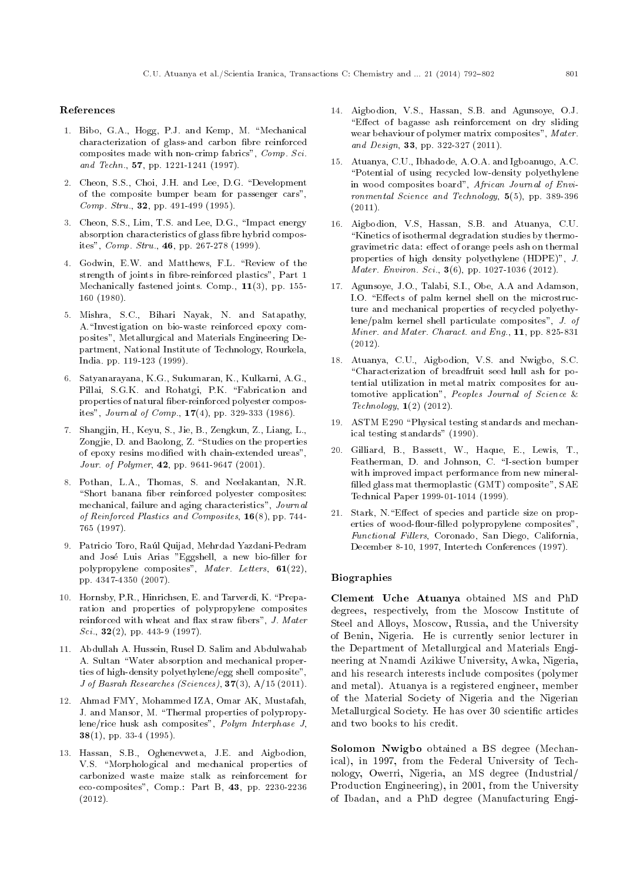#### References

- 1. Bibo, G.A., Hogg, P.J. and Kemp, M. \Mechanical characterization of glass-and carbon bre reinforced composites made with non-crimp fabrics", Comp. Sci. and Techn., **57**, pp. 1221-1241 (1997).
- 2. Cheon, S.S., Choi, J.H. and Lee, D.G. "Development of the composite bumper beam for passenger cars", Comp. Stru., **32**, pp. 491-499 (1995).
- 3. Cheon, S.S., Lim, T.S. and Lee, D.G., \Impact energy absorption characteristics of glass bre hybrid composites", Comp. Stru., 46, pp. 267-278 (1999).
- 4. Godwin, E.W. and Matthews, F.L. "Review of the strength of joints in bre-reinforced plastics", Part 1 Mechanically fastened joints. Comp., 11(3), pp. 155- 160 (1980).
- 5. Mishra, S.C., Bihari Nayak, N. and Satapathy, A.\Investigation on bio-waste reinforced epoxy composites", Metallurgical and Materials Engineering Department, National Institute of Technology, Rourkela, India. pp. 119-123 (1999).
- 6. Satyanarayana, K.G., Sukumaran, K., Kulkarni, A.G., Pillai, S.G.K. and Rohatgi, P.K. "Fabrication and properties of natural fiber-reinforced polyester composites", Journal of Comp., 17(4), pp. 329-333 (1986).
- 7. Shangjin, H., Keyu, S., Jie, B., Zengkun, Z., Liang, L., Zongjie, D. and Baolong, Z. "Studies on the properties of epoxy resins modified with chain-extended ureas", Jour. of Polymer, 42, pp. 9641-9647 (2001).
- 8. Pothan, L.A., Thomas, S. and Neelakantan, N.R. "Short banana fiber reinforced polyester composites: mechanical, failure and aging characteristics", Journal of Reinforced Plastics and Composites, 16(8), pp. 744- 765 (1997).
- 9. Patricio Toro, Raúl Quijad, Mehrdad Yazdani-Pedram and José Luis Arias "Eggshell, a new bio-filler for polypropylene composites", Mater. Letters, 61(22), pp. 4347-4350 (2007).
- 10. Hornsby, P.R., Hinrichsen, E. and Tarverdi, K. \Preparation and properties of polypropylene composites reinforced with wheat and flax straw fibers", J. Mater Sci.,  $32(2)$ , pp. 443-9 (1997).
- 11. Abdullah A. Hussein, Rusel D. Salim and Abdulwahab A. Sultan \Water absorption and mechanical properties of high-density polyethylene/egg shell composite", J of Basrah Researches (Sciences),  $37(3)$ , A/15 (2011).
- 12. Ahmad FMY, Mohammed IZA, Omar AK, Mustafah, J. and Mansor, M. \Thermal properties of polypropylene/rice husk ash composites", Polym Interphase J, 38(1), pp. 33-4 (1995).
- 13. Hassan, S.B., Oghenevweta, J.E. and Aigbodion, V.S. "Morphological and mechanical properties of carbonized waste maize stalk as reinforcement for eco-composites", Comp.: Part B, 43, pp. 2230-2236 (2012).
- 14. Aigbodion, V.S., Hassan, S.B. and Agunsoye, O.J. "Effect of bagasse ash reinforcement on dry sliding wear behaviour of polymer matrix composites", Mater. and Design, 33, pp. 322-327 (2011).
- 15. Atuanya, C.U., Ibhadode, A.O.A. and Igboanugo, A.C. \Potential of using recycled low-density polyethylene in wood composites board", African Journal of Environmental Science and Technology, 5(5), pp. 389-396  $(2011).$
- 16. Aigbodion, V.S, Hassan, S.B. and Atuanya, C.U. "Kinetics of isothermal degradation studies by thermogravimetric data: effect of orange peels ash on thermal properties of high density polyethylene (HDPE)", J. Mater. Environ. Sci., **3**(6), pp. 1027-1036 (2012).
- 17. Agunsoye, J.O., Talabi, S.I., Obe, A.A and Adamson, I.O. "Effects of palm kernel shell on the microstructure and mechanical properties of recycled polyethylene/palm kernel shell particulate composites", J. of Miner. and Mater. Charact. and Eng., 11, pp. 825-831 (2012).
- 18. Atuanya, C.U., Aigbodion, V.S. and Nwigbo, S.C. \Characterization of breadfruit seed hull ash for potential utilization in metal matrix composites for automotive application", Peoples Journal of Science &  $Technology, 1(2) (2012).$
- 19. ASTM E290 "Physical testing standards and mechanical testing standards" (1990).
- 20. Gilliard, B., Bassett, W., Haque, E., Lewis, T., Featherman, D. and Johnson, C. "I-section bumper with improved impact performance from new mineral filled glass mat thermoplastic  $(GMT)$  composite",  $SAE$ Technical Paper 1999-01-1014 (1999).
- 21. Stark, N."Effect of species and particle size on properties of wood-flour-filled polypropylene composites", Functional Fillers, Coronado, San Diego, California, December 8-10, 1997, Intertech Conferences (1997).

## Biographies

Clement Uche Atuanya obtained MS and PhD degrees, respectively, from the Moscow Institute of Steel and Alloys, Moscow, Russia, and the University of Benin, Nigeria. He is currently senior lecturer in the Department of Metallurgical and Materials Engineering at Nnamdi Azikiwe University, Awka, Nigeria, and his research interests include composites (polymer and metal). Atuanya is a registered engineer, member of the Material Society of Nigeria and the Nigerian Metallurgical Society. He has over 30 scientific articles and two books to his credit.

Solomon Nwigbo obtained a BS degree (Mechanical), in 1997, from the Federal University of Technology, Owerri, Nigeria, an MS degree (Industrial/ Production Engineering), in 2001, from the University of Ibadan, and a PhD degree (Manufacturing Engi